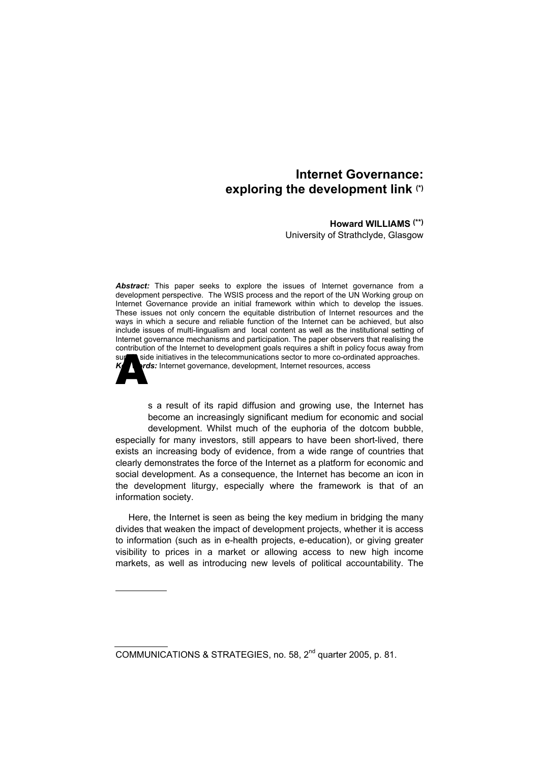# **Internet Governance: exploring the development link (\*)**

### **Howard WILLIAMS (\*\*)**

University of Strathclyde, Glasgow

*Abstract:* This paper seeks to explore the issues of Internet governance from a development perspective. The WSIS process and the report of the UN Working group on Internet Governance provide an initial framework within which to develop the issues. These issues not only concern the equitable distribution of Internet resources and the ways in which a secure and reliable function of the Internet can be achieved, but also include issues of multi-lingualism and local content as well as the institutional setting of Internet governance mechanisms and participation. The paper observers that realising the contribution of the Internet to development goals requires a shift in policy focus away from<br>sure side initiatives in the telecommunications sector to more co-ordinated approaches.<br>Kards: Internet governance, development, supply side initiatives in the telecommunications sector to more co-ordinated approaches. *Krds:* Internet governance, development, Internet resources, access

s a result of its rapid diffusion and growing use, the Internet has become an increasingly significant medium for economic and social development. Whilst much of the euphoria of the dotcom bubble, especially for many investors, still appears to have been short-lived, there exists an increasing body of evidence, from a wide range of countries that clearly demonstrates the force of the Internet as a platform for economic and social development. As a consequence, the Internet has become an icon in the development liturgy, especially where the framework is that of an information society.

Here, the Internet is seen as being the key medium in bridging the many divides that weaken the impact of development projects, whether it is access to information (such as in e-health projects, e-education), or giving greater visibility to prices in a market or allowing access to new high income markets, as well as introducing new levels of political accountability. The

COMMUNICATIONS & STRATEGIES, no. 58, 2<sup>nd</sup> quarter 2005, p. 81.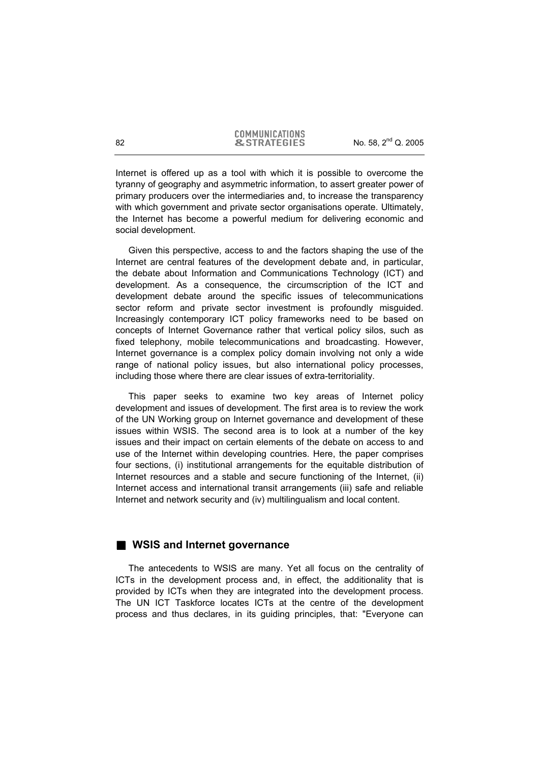Internet is offered up as a tool with which it is possible to overcome the tyranny of geography and asymmetric information, to assert greater power of primary producers over the intermediaries and, to increase the transparency with which government and private sector organisations operate. Ultimately, the Internet has become a powerful medium for delivering economic and social development.

Given this perspective, access to and the factors shaping the use of the Internet are central features of the development debate and, in particular, the debate about Information and Communications Technology (ICT) and development. As a consequence, the circumscription of the ICT and development debate around the specific issues of telecommunications sector reform and private sector investment is profoundly misguided. Increasingly contemporary ICT policy frameworks need to be based on concepts of Internet Governance rather that vertical policy silos, such as fixed telephony, mobile telecommunications and broadcasting. However, Internet governance is a complex policy domain involving not only a wide range of national policy issues, but also international policy processes, including those where there are clear issues of extra-territoriality.

This paper seeks to examine two key areas of Internet policy development and issues of development. The first area is to review the work of the UN Working group on Internet governance and development of these issues within WSIS. The second area is to look at a number of the key issues and their impact on certain elements of the debate on access to and use of the Internet within developing countries. Here, the paper comprises four sections, (i) institutional arrangements for the equitable distribution of Internet resources and a stable and secure functioning of the Internet, (ii) Internet access and international transit arrangements (iii) safe and reliable Internet and network security and (iv) multilingualism and local content.

# ̈ **WSIS and Internet governance**

The antecedents to WSIS are many. Yet all focus on the centrality of ICTs in the development process and, in effect, the additionality that is provided by ICTs when they are integrated into the development process. The UN ICT Taskforce locates ICTs at the centre of the development process and thus declares, in its guiding principles, that: "Everyone can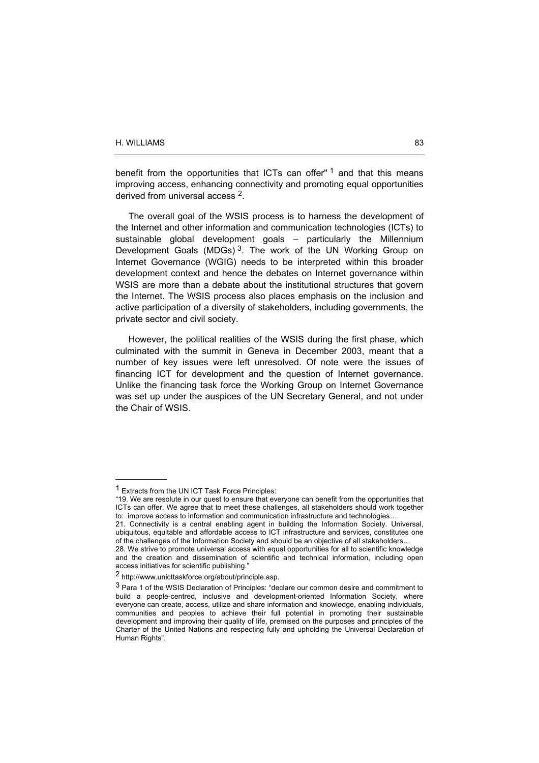benefit from the opportunities that ICTs can offer  $1$  and that this means improving access, enhancing connectivity and promoting equal opportunities derived from universal access 2.

The overall goal of the WSIS process is to harness the development of the Internet and other information and communication technologies (ICTs) to sustainable global development goals  $-$  particularly the Millennium Development Goals (MDGs) 3. The work of the UN Working Group on Internet Governance (WGIG) needs to be interpreted within this broader development context and hence the debates on Internet governance within WSIS are more than a debate about the institutional structures that govern the Internet. The WSIS process also places emphasis on the inclusion and active participation of a diversity of stakeholders, including governments, the private sector and civil society.

However, the political realities of the WSIS during the first phase, which culminated with the summit in Geneva in December 2003, meant that a number of key issues were left unresolved. Of note were the issues of financing ICT for development and the question of Internet governance. Unlike the financing task force the Working Group on Internet Governance was set up under the auspices of the UN Secretary General, and not under the Chair of WSIS.

<sup>&</sup>lt;sup>1</sup> Extracts from the UN ICT Task Force Principles:

ì19. We are resolute in our quest to ensure that everyone can benefit from the opportunities that ICTs can offer. We agree that to meet these challenges, all stakeholders should work together to: improve access to information and communication infrastructure and technologies...

<sup>21.</sup> Connectivity is a central enabling agent in building the Information Society. Universal, ubiquitous, equitable and affordable access to ICT infrastructure and services, constitutes one of the challenges of the Information Society and should be an objective of all stakeholders...

<sup>28.</sup> We strive to promote universal access with equal opportunities for all to scientific knowledge and the creation and dissemination of scientific and technical information, including open access initiatives for scientific publishing.<sup>'</sup>

<sup>2</sup> http://www.unicttaskforce.org/about/principle.asp.

 $3$  Para 1 of the WSIS Declaration of Principles: "declare our common desire and commitment to build a people-centred, inclusive and development-oriented Information Society, where everyone can create, access, utilize and share information and knowledge, enabling individuals, communities and peoples to achieve their full potential in promoting their sustainable development and improving their quality of life, premised on the purposes and principles of the Charter of the United Nations and respecting fully and upholding the Universal Declaration of Human Rights".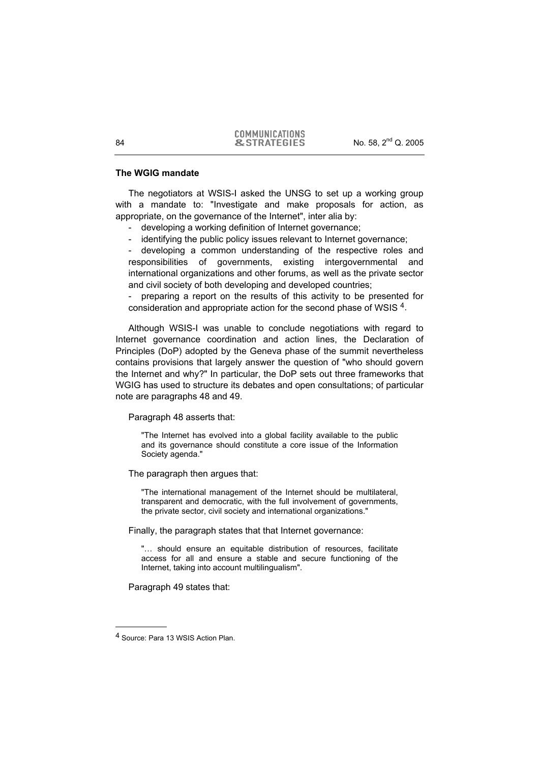### **The WGIG mandate**

The negotiators at WSIS-I asked the UNSG to set up a working group with a mandate to: "Investigate and make proposals for action, as appropriate, on the governance of the Internet", inter alia by:

developing a working definition of Internet governance;

identifying the public policy issues relevant to Internet governance;

developing a common understanding of the respective roles and responsibilities of governments, existing intergovernmental and international organizations and other forums, as well as the private sector and civil society of both developing and developed countries;

preparing a report on the results of this activity to be presented for consideration and appropriate action for the second phase of WSIS 4.

Although WSIS-I was unable to conclude negotiations with regard to Internet governance coordination and action lines, the Declaration of Principles (DoP) adopted by the Geneva phase of the summit nevertheless contains provisions that largely answer the question of "who should govern the Internet and why?" In particular, the DoP sets out three frameworks that WGIG has used to structure its debates and open consultations; of particular note are paragraphs 48 and 49.

Paragraph 48 asserts that:

"The Internet has evolved into a global facility available to the public and its governance should constitute a core issue of the Information Society agenda."

The paragraph then argues that:

"The international management of the Internet should be multilateral, transparent and democratic, with the full involvement of governments, the private sector, civil society and international organizations."

Finally, the paragraph states that that Internet governance:

"... should ensure an equitable distribution of resources, facilitate access for all and ensure a stable and secure functioning of the Internet, taking into account multilingualism".

Paragraph 49 states that:

<sup>4</sup> Source: Para 13 WSIS Action Plan.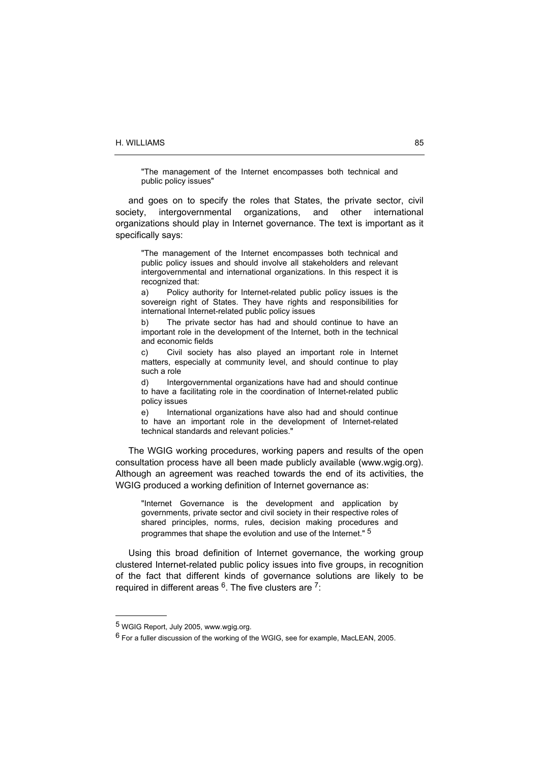"The management of the Internet encompasses both technical and public policy issues"

and goes on to specify the roles that States, the private sector, civil society, intergovernmental organizations, and other international organizations should play in Internet governance. The text is important as it specifically says:

"The management of the Internet encompasses both technical and public policy issues and should involve all stakeholders and relevant intergovernmental and international organizations. In this respect it is recognized that:

a) Policy authority for Internet-related public policy issues is the sovereign right of States. They have rights and responsibilities for international Internet-related public policy issues

b) The private sector has had and should continue to have an important role in the development of the Internet, both in the technical and economic fields

c) Civil society has also played an important role in Internet matters, especially at community level, and should continue to play such a role

d) Intergovernmental organizations have had and should continue to have a facilitating role in the coordination of Internet-related public policy issues

e) International organizations have also had and should continue to have an important role in the development of Internet-related technical standards and relevant policies."

The WGIG working procedures, working papers and results of the open consultation process have all been made publicly available (www.wgig.org). Although an agreement was reached towards the end of its activities, the WGIG produced a working definition of Internet governance as:

"Internet Governance is the development and application by governments, private sector and civil society in their respective roles of shared principles, norms, rules, decision making procedures and programmes that shape the evolution and use of the Internet." 5

Using this broad definition of Internet governance, the working group clustered Internet-related public policy issues into five groups, in recognition of the fact that different kinds of governance solutions are likely to be required in different areas 6. The five clusters are 7:

<sup>5</sup> WGIG Report, July 2005, www.wgig.org.

 $6$  For a fuller discussion of the working of the WGIG, see for example, MacLEAN, 2005.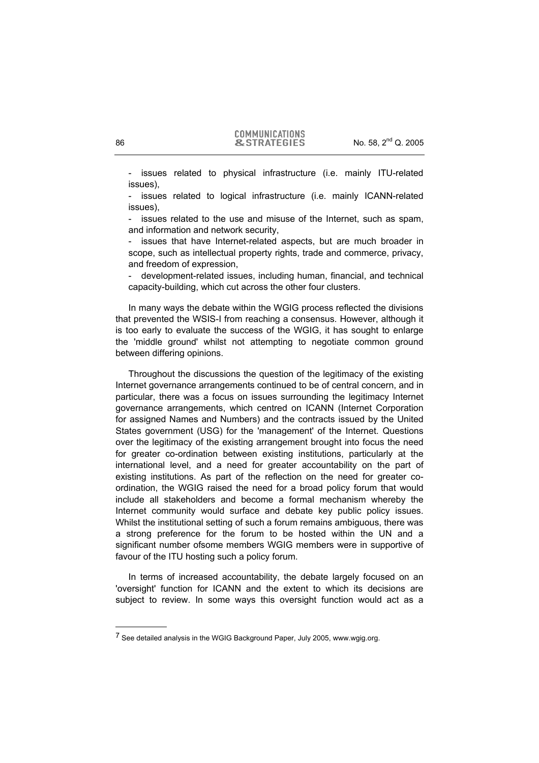- issues related to physical infrastructure (i.e. mainly ITU-related issues),

- issues related to logical infrastructure (i.e. mainly ICANN-related issues),

- issues related to the use and misuse of the Internet, such as spam, and information and network security,

issues that have Internet-related aspects, but are much broader in scope, such as intellectual property rights, trade and commerce, privacy, and freedom of expression,

- development-related issues, including human, financial, and technical capacity-building, which cut across the other four clusters.

In many ways the debate within the WGIG process reflected the divisions that prevented the WSIS-I from reaching a consensus. However, although it is too early to evaluate the success of the WGIG, it has sought to enlarge the 'middle ground' whilst not attempting to negotiate common ground between differing opinions.

Throughout the discussions the question of the legitimacy of the existing Internet governance arrangements continued to be of central concern, and in particular, there was a focus on issues surrounding the legitimacy Internet governance arrangements, which centred on ICANN (Internet Corporation for assigned Names and Numbers) and the contracts issued by the United States government (USG) for the 'management' of the Internet. Questions over the legitimacy of the existing arrangement brought into focus the need for greater co-ordination between existing institutions, particularly at the international level, and a need for greater accountability on the part of existing institutions. As part of the reflection on the need for greater coordination, the WGIG raised the need for a broad policy forum that would include all stakeholders and become a formal mechanism whereby the Internet community would surface and debate key public policy issues. Whilst the institutional setting of such a forum remains ambiguous, there was a strong preference for the forum to be hosted within the UN and a significant number ofsome members WGIG members were in supportive of favour of the ITU hosting such a policy forum.

In terms of increased accountability, the debate largely focused on an 'oversight' function for ICANN and the extent to which its decisions are subject to review. In some ways this oversight function would act as a

<sup>7</sup> See detailed analysis in the WGIG Background Paper, July 2005, www.wgig.org.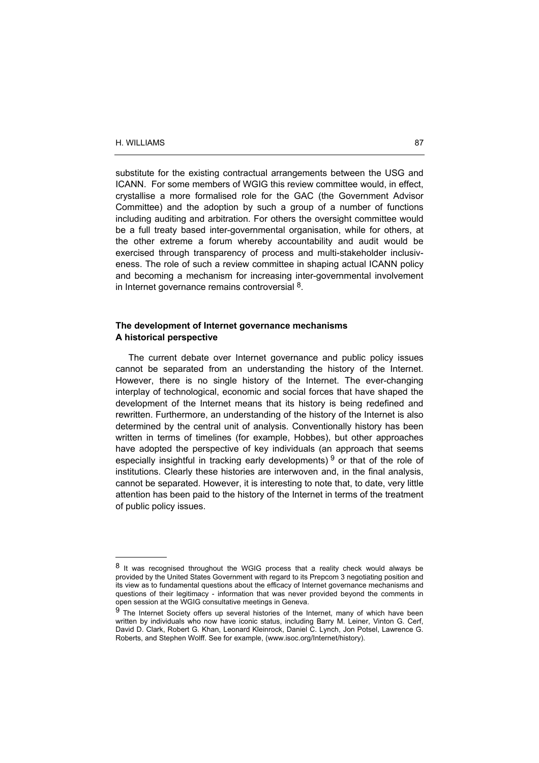substitute for the existing contractual arrangements between the USG and ICANN. For some members of WGIG this review committee would, in effect, crystallise a more formalised role for the GAC (the Government Advisor Committee) and the adoption by such a group of a number of functions including auditing and arbitration. For others the oversight committee would be a full treaty based inter-governmental organisation, while for others, at the other extreme a forum whereby accountability and audit would be exercised through transparency of process and multi-stakeholder inclusiveness. The role of such a review committee in shaping actual ICANN policy and becoming a mechanism for increasing inter-governmental involvement in Internet governance remains controversial 8.

#### **The development of Internet governance mechanisms A historical perspective**

The current debate over Internet governance and public policy issues cannot be separated from an understanding the history of the Internet. However, there is no single history of the Internet. The ever-changing interplay of technological, economic and social forces that have shaped the development of the Internet means that its history is being redefined and rewritten. Furthermore, an understanding of the history of the Internet is also determined by the central unit of analysis. Conventionally history has been written in terms of timelines (for example, Hobbes), but other approaches have adopted the perspective of key individuals (an approach that seems especially insightful in tracking early developments)  $9$  or that of the role of institutions. Clearly these histories are interwoven and, in the final analysis, cannot be separated. However, it is interesting to note that, to date, very little attention has been paid to the history of the Internet in terms of the treatment of public policy issues.

<sup>&</sup>lt;sup>8</sup> It was recognised throughout the WGIG process that a reality check would always be provided by the United States Government with regard to its Prepcom 3 negotiating position and its view as to fundamental questions about the efficacy of Internet governance mechanisms and questions of their legitimacy - information that was never provided beyond the comments in open session at the WGIG consultative meetings in Geneva.

<sup>&</sup>lt;sup>9</sup> The Internet Society offers up several histories of the Internet, many of which have been written by individuals who now have iconic status, including Barry M. Leiner, Vinton G. Cerf, David D. Clark, Robert G. Khan, Leonard Kleinrock, Daniel C. Lynch, Jon Potsel, Lawrence G. Roberts, and Stephen Wolff. See for example, (www.isoc.org/Internet/history).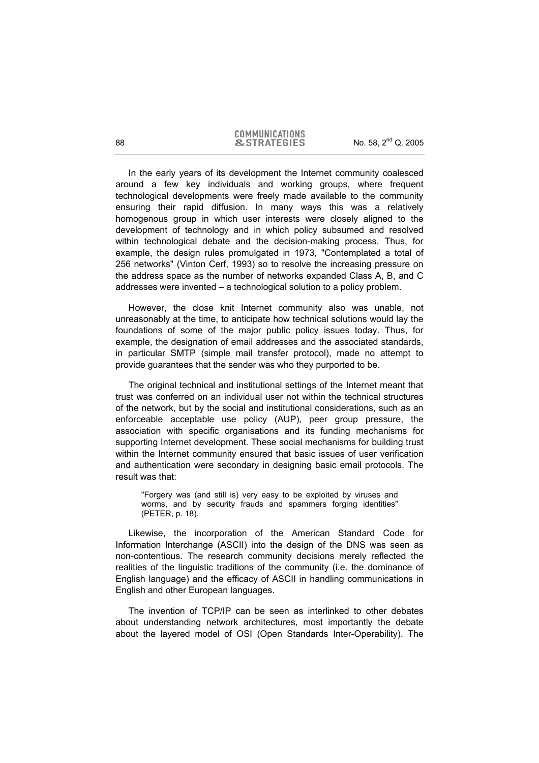In the early years of its development the Internet community coalesced around a few key individuals and working groups, where frequent technological developments were freely made available to the community ensuring their rapid diffusion. In many ways this was a relatively homogenous group in which user interests were closely aligned to the development of technology and in which policy subsumed and resolved within technological debate and the decision-making process. Thus, for example, the design rules promulgated in 1973, "Contemplated a total of 256 networks" (Vinton Cerf, 1993) so to resolve the increasing pressure on the address space as the number of networks expanded Class A, B, and C addresses were invented  $-$  a technological solution to a policy problem.

However, the close knit Internet community also was unable, not unreasonably at the time, to anticipate how technical solutions would lay the foundations of some of the major public policy issues today. Thus, for example, the designation of email addresses and the associated standards, in particular SMTP (simple mail transfer protocol), made no attempt to provide guarantees that the sender was who they purported to be.

The original technical and institutional settings of the Internet meant that trust was conferred on an individual user not within the technical structures of the network, but by the social and institutional considerations, such as an enforceable acceptable use policy (AUP), peer group pressure, the association with specific organisations and its funding mechanisms for supporting Internet development. These social mechanisms for building trust within the Internet community ensured that basic issues of user verification and authentication were secondary in designing basic email protocols. The result was that:

"Forgery was (and still is) very easy to be exploited by viruses and worms, and by security frauds and spammers forging identities" (PETER, p. 18).

Likewise, the incorporation of the American Standard Code for Information Interchange (ASCII) into the design of the DNS was seen as non-contentious. The research community decisions merely reflected the realities of the linguistic traditions of the community (i.e. the dominance of English language) and the efficacy of ASCII in handling communications in English and other European languages.

The invention of TCP/IP can be seen as interlinked to other debates about understanding network architectures, most importantly the debate about the layered model of OSI (Open Standards Inter-Operability). The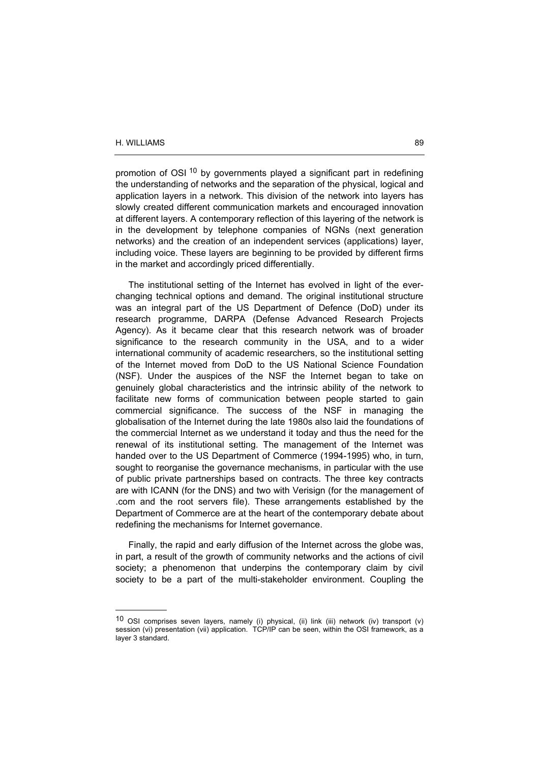-

promotion of OSI 10 by governments played a significant part in redefining the understanding of networks and the separation of the physical, logical and application layers in a network. This division of the network into layers has slowly created different communication markets and encouraged innovation at different layers. A contemporary reflection of this layering of the network is in the development by telephone companies of NGNs (next generation networks) and the creation of an independent services (applications) layer, including voice. These layers are beginning to be provided by different firms in the market and accordingly priced differentially.

The institutional setting of the Internet has evolved in light of the everchanging technical options and demand. The original institutional structure was an integral part of the US Department of Defence (DoD) under its research programme, DARPA (Defense Advanced Research Projects Agency). As it became clear that this research network was of broader significance to the research community in the USA, and to a wider international community of academic researchers, so the institutional setting of the Internet moved from DoD to the US National Science Foundation (NSF). Under the auspices of the NSF the Internet began to take on genuinely global characteristics and the intrinsic ability of the network to facilitate new forms of communication between people started to gain commercial significance. The success of the NSF in managing the globalisation of the Internet during the late 1980s also laid the foundations of the commercial Internet as we understand it today and thus the need for the renewal of its institutional setting. The management of the Internet was handed over to the US Department of Commerce (1994-1995) who, in turn, sought to reorganise the governance mechanisms, in particular with the use of public private partnerships based on contracts. The three key contracts are with ICANN (for the DNS) and two with Verisign (for the management of .com and the root servers file). These arrangements established by the Department of Commerce are at the heart of the contemporary debate about redefining the mechanisms for Internet governance.

Finally, the rapid and early diffusion of the Internet across the globe was, in part, a result of the growth of community networks and the actions of civil society; a phenomenon that underpins the contemporary claim by civil society to be a part of the multi-stakeholder environment. Coupling the

 $10$  OSI comprises seven layers, namely (i) physical, (ii) link (iii) network (iv) transport (v) session (vi) presentation (vii) application. TCP/IP can be seen, within the OSI framework, as a layer 3 standard.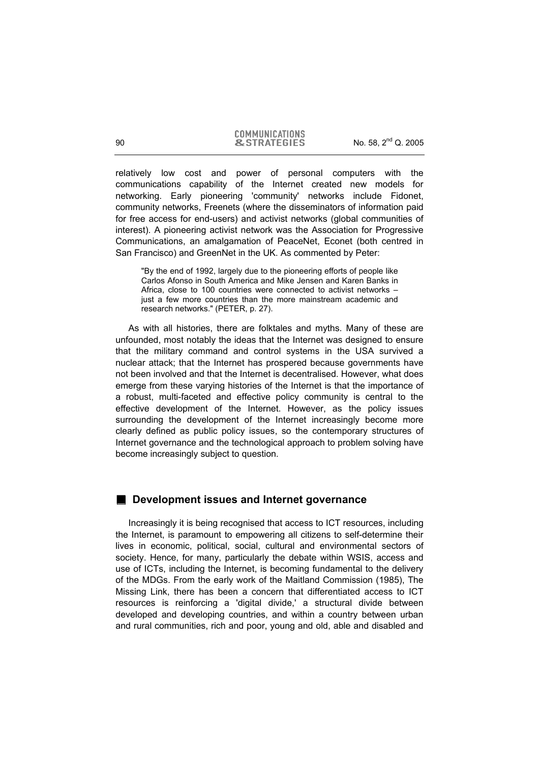relatively low cost and power of personal computers with the communications capability of the Internet created new models for networking. Early pioneering 'community' networks include Fidonet, community networks, Freenets (where the disseminators of information paid for free access for end-users) and activist networks (global communities of interest). A pioneering activist network was the Association for Progressive Communications, an amalgamation of PeaceNet, Econet (both centred in San Francisco) and GreenNet in the UK. As commented by Peter:

"By the end of 1992, largely due to the pioneering efforts of people like Carlos Afonso in South America and Mike Jensen and Karen Banks in Africa, close to 100 countries were connected to activist networks  $$ just a few more countries than the more mainstream academic and research networks." (PETER, p. 27).

As with all histories, there are folktales and myths. Many of these are unfounded, most notably the ideas that the Internet was designed to ensure that the military command and control systems in the USA survived a nuclear attack; that the Internet has prospered because governments have not been involved and that the Internet is decentralised. However, what does emerge from these varying histories of the Internet is that the importance of a robust, multi-faceted and effective policy community is central to the effective development of the Internet. However, as the policy issues surrounding the development of the Internet increasingly become more clearly defined as public policy issues, so the contemporary structures of Internet governance and the technological approach to problem solving have become increasingly subject to question.

# ̈ **Development issues and Internet governance**

Increasingly it is being recognised that access to ICT resources, including the Internet, is paramount to empowering all citizens to self-determine their lives in economic, political, social, cultural and environmental sectors of society. Hence, for many, particularly the debate within WSIS, access and use of ICTs, including the Internet, is becoming fundamental to the delivery of the MDGs. From the early work of the Maitland Commission (1985), The Missing Link, there has been a concern that differentiated access to ICT resources is reinforcing a 'digital divide,' a structural divide between developed and developing countries, and within a country between urban and rural communities, rich and poor, young and old, able and disabled and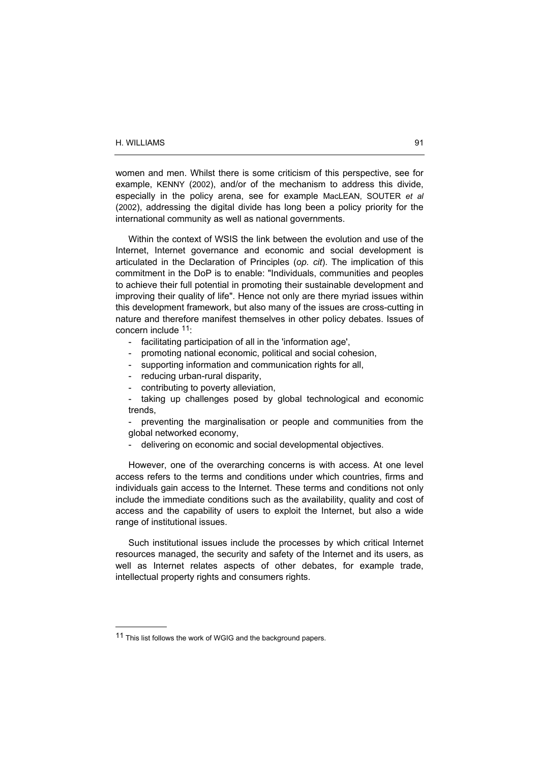women and men. Whilst there is some criticism of this perspective, see for example, KENNY (2002), and/or of the mechanism to address this divide, especially in the policy arena, see for example MacLEAN, SOUTER *et al* (2002), addressing the digital divide has long been a policy priority for the international community as well as national governments.

Within the context of WSIS the link between the evolution and use of the Internet, Internet governance and economic and social development is articulated in the Declaration of Principles (*op. cit*). The implication of this commitment in the DoP is to enable: "Individuals, communities and peoples to achieve their full potential in promoting their sustainable development and improving their quality of life". Hence not only are there myriad issues within this development framework, but also many of the issues are cross-cutting in nature and therefore manifest themselves in other policy debates. Issues of concern include 11:

- facilitating participation of all in the 'information age',

- promoting national economic, political and social cohesion,
- supporting information and communication rights for all,
- reducing urban-rural disparity,
- contributing to poverty alleviation,
- taking up challenges posed by global technological and economic trends,

preventing the marginalisation or people and communities from the global networked economy,

delivering on economic and social developmental objectives.

However, one of the overarching concerns is with access. At one level access refers to the terms and conditions under which countries, firms and individuals gain access to the Internet. These terms and conditions not only include the immediate conditions such as the availability, quality and cost of access and the capability of users to exploit the Internet, but also a wide range of institutional issues.

Such institutional issues include the processes by which critical Internet resources managed, the security and safety of the Internet and its users, as well as Internet relates aspects of other debates, for example trade, intellectual property rights and consumers rights.

<sup>&</sup>lt;sup>11</sup> This list follows the work of WGIG and the background papers.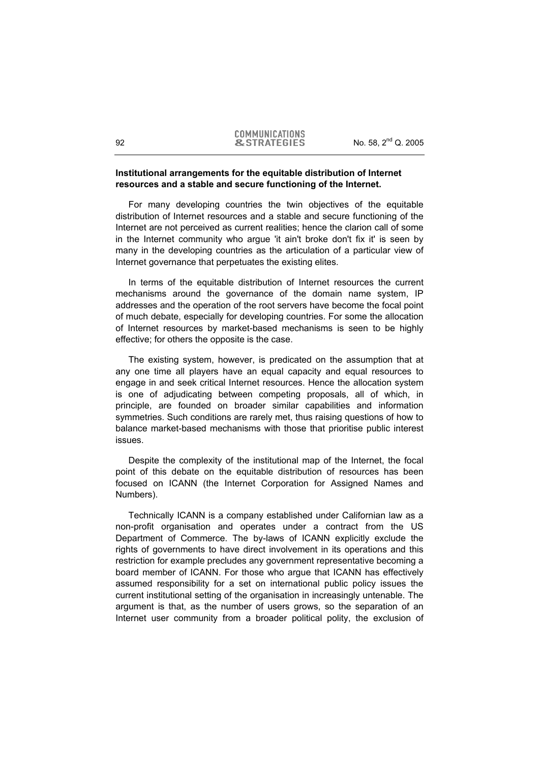#### **Institutional arrangements for the equitable distribution of Internet resources and a stable and secure functioning of the Internet.**

For many developing countries the twin objectives of the equitable distribution of Internet resources and a stable and secure functioning of the Internet are not perceived as current realities; hence the clarion call of some in the Internet community who argue 'it ain't broke don't fix it' is seen by many in the developing countries as the articulation of a particular view of Internet governance that perpetuates the existing elites.

In terms of the equitable distribution of Internet resources the current mechanisms around the governance of the domain name system, IP addresses and the operation of the root servers have become the focal point of much debate, especially for developing countries. For some the allocation of Internet resources by market-based mechanisms is seen to be highly effective; for others the opposite is the case.

The existing system, however, is predicated on the assumption that at any one time all players have an equal capacity and equal resources to engage in and seek critical Internet resources. Hence the allocation system is one of adjudicating between competing proposals, all of which, in principle, are founded on broader similar capabilities and information symmetries. Such conditions are rarely met, thus raising questions of how to balance market-based mechanisms with those that prioritise public interest issues.

Despite the complexity of the institutional map of the Internet, the focal point of this debate on the equitable distribution of resources has been focused on ICANN (the Internet Corporation for Assigned Names and Numbers).

Technically ICANN is a company established under Californian law as a non-profit organisation and operates under a contract from the US Department of Commerce. The by-laws of ICANN explicitly exclude the rights of governments to have direct involvement in its operations and this restriction for example precludes any government representative becoming a board member of ICANN. For those who argue that ICANN has effectively assumed responsibility for a set on international public policy issues the current institutional setting of the organisation in increasingly untenable. The argument is that, as the number of users grows, so the separation of an Internet user community from a broader political polity, the exclusion of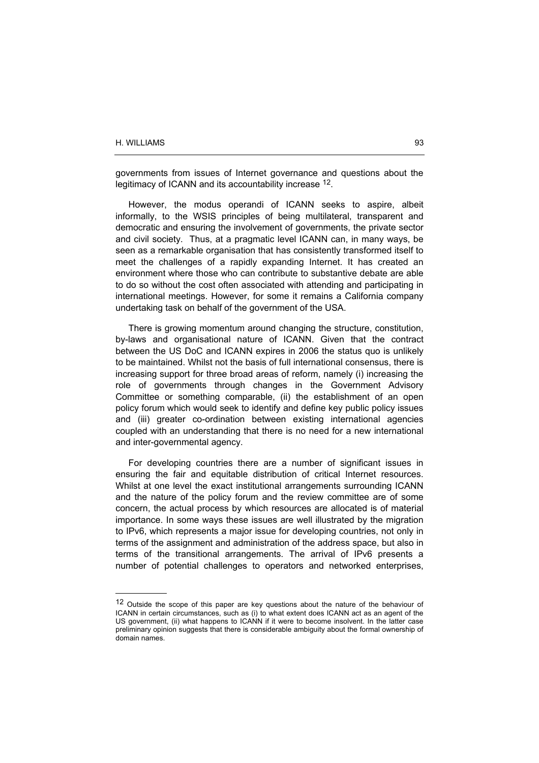-

governments from issues of Internet governance and questions about the legitimacy of ICANN and its accountability increase 12.

However, the modus operandi of ICANN seeks to aspire, albeit informally, to the WSIS principles of being multilateral, transparent and democratic and ensuring the involvement of governments, the private sector and civil society. Thus, at a pragmatic level ICANN can, in many ways, be seen as a remarkable organisation that has consistently transformed itself to meet the challenges of a rapidly expanding Internet. It has created an environment where those who can contribute to substantive debate are able to do so without the cost often associated with attending and participating in international meetings. However, for some it remains a California company undertaking task on behalf of the government of the USA.

There is growing momentum around changing the structure, constitution, by-laws and organisational nature of ICANN. Given that the contract between the US DoC and ICANN expires in 2006 the status quo is unlikely to be maintained. Whilst not the basis of full international consensus, there is increasing support for three broad areas of reform, namely (i) increasing the role of governments through changes in the Government Advisory Committee or something comparable, (ii) the establishment of an open policy forum which would seek to identify and define key public policy issues and (iii) greater co-ordination between existing international agencies coupled with an understanding that there is no need for a new international and inter-governmental agency.

For developing countries there are a number of significant issues in ensuring the fair and equitable distribution of critical Internet resources. Whilst at one level the exact institutional arrangements surrounding ICANN and the nature of the policy forum and the review committee are of some concern, the actual process by which resources are allocated is of material importance. In some ways these issues are well illustrated by the migration to IPv6, which represents a major issue for developing countries, not only in terms of the assignment and administration of the address space, but also in terms of the transitional arrangements. The arrival of IPv6 presents a number of potential challenges to operators and networked enterprises,

<sup>&</sup>lt;sup>12</sup> Outside the scope of this paper are key questions about the nature of the behaviour of ICANN in certain circumstances, such as (i) to what extent does ICANN act as an agent of the US government, (ii) what happens to ICANN if it were to become insolvent. In the latter case preliminary opinion suggests that there is considerable ambiguity about the formal ownership of domain names.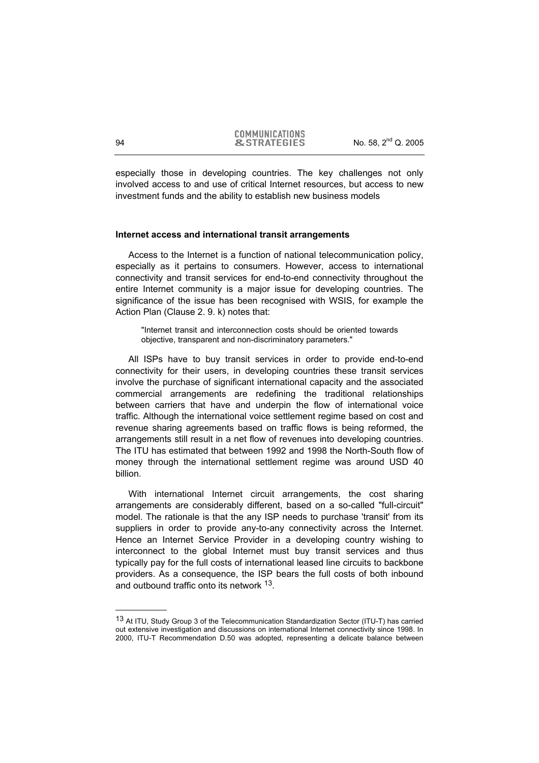especially those in developing countries. The key challenges not only involved access to and use of critical Internet resources, but access to new investment funds and the ability to establish new business models

#### **Internet access and international transit arrangements**

Access to the Internet is a function of national telecommunication policy, especially as it pertains to consumers. However, access to international connectivity and transit services for end-to-end connectivity throughout the entire Internet community is a major issue for developing countries. The significance of the issue has been recognised with WSIS, for example the Action Plan (Clause 2. 9. k) notes that:

"Internet transit and interconnection costs should be oriented towards objective, transparent and non-discriminatory parameters."

All ISPs have to buy transit services in order to provide end-to-end connectivity for their users, in developing countries these transit services involve the purchase of significant international capacity and the associated commercial arrangements are redefining the traditional relationships between carriers that have and underpin the flow of international voice traffic. Although the international voice settlement regime based on cost and revenue sharing agreements based on traffic flows is being reformed, the arrangements still result in a net flow of revenues into developing countries. The ITU has estimated that between 1992 and 1998 the North-South flow of money through the international settlement regime was around USD 40 billion.

With international Internet circuit arrangements, the cost sharing arrangements are considerably different, based on a so-called "full-circuit" model. The rationale is that the any ISP needs to purchase 'transit' from its suppliers in order to provide any-to-any connectivity across the Internet. Hence an Internet Service Provider in a developing country wishing to interconnect to the global Internet must buy transit services and thus typically pay for the full costs of international leased line circuits to backbone providers. As a consequence, the ISP bears the full costs of both inbound and outbound traffic onto its network <sup>13</sup>.

<sup>13</sup> At ITU, Study Group 3 of the Telecommunication Standardization Sector (ITU-T) has carried out extensive investigation and discussions on international Internet connectivity since 1998. In 2000, ITU-T Recommendation D.50 was adopted, representing a delicate balance between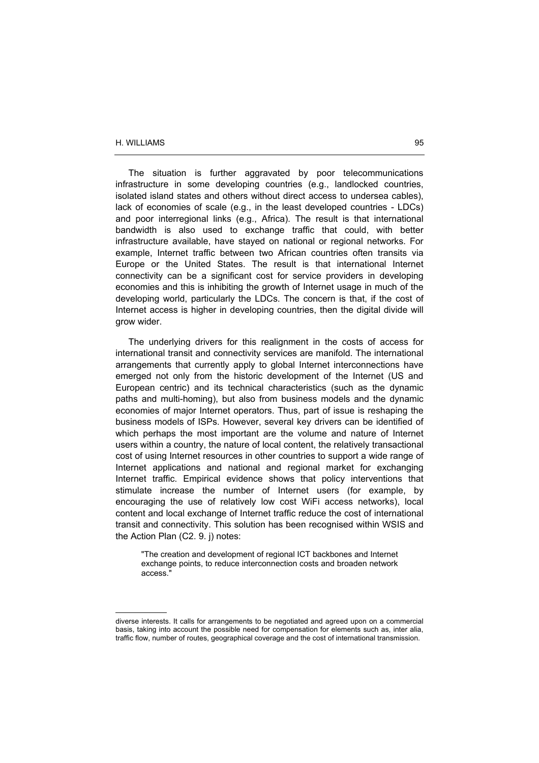-

The situation is further aggravated by poor telecommunications infrastructure in some developing countries (e.g., landlocked countries, isolated island states and others without direct access to undersea cables), lack of economies of scale (e.g., in the least developed countries - LDCs) and poor interregional links (e.g., Africa). The result is that international bandwidth is also used to exchange traffic that could, with better infrastructure available, have stayed on national or regional networks. For example, Internet traffic between two African countries often transits via Europe or the United States. The result is that international Internet connectivity can be a significant cost for service providers in developing economies and this is inhibiting the growth of Internet usage in much of the developing world, particularly the LDCs. The concern is that, if the cost of Internet access is higher in developing countries, then the digital divide will grow wider.

The underlying drivers for this realignment in the costs of access for international transit and connectivity services are manifold. The international arrangements that currently apply to global Internet interconnections have emerged not only from the historic development of the Internet (US and European centric) and its technical characteristics (such as the dynamic paths and multi-homing), but also from business models and the dynamic economies of major Internet operators. Thus, part of issue is reshaping the business models of ISPs. However, several key drivers can be identified of which perhaps the most important are the volume and nature of Internet users within a country, the nature of local content, the relatively transactional cost of using Internet resources in other countries to support a wide range of Internet applications and national and regional market for exchanging Internet traffic. Empirical evidence shows that policy interventions that stimulate increase the number of Internet users (for example, by encouraging the use of relatively low cost WiFi access networks), local content and local exchange of Internet traffic reduce the cost of international transit and connectivity. This solution has been recognised within WSIS and the Action Plan (C2. 9. j) notes:

"The creation and development of regional ICT backbones and Internet exchange points, to reduce interconnection costs and broaden network access."

diverse interests. It calls for arrangements to be negotiated and agreed upon on a commercial basis, taking into account the possible need for compensation for elements such as, inter alia, traffic flow, number of routes, geographical coverage and the cost of international transmission.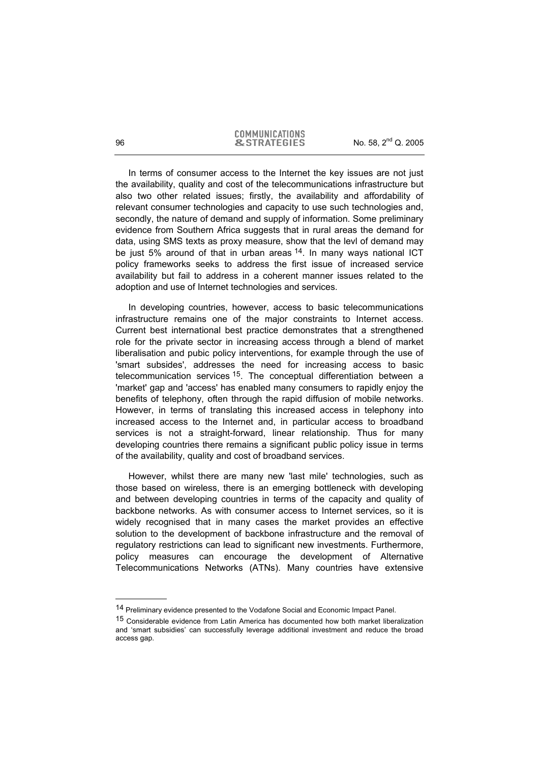In terms of consumer access to the Internet the key issues are not just the availability, quality and cost of the telecommunications infrastructure but also two other related issues; firstly, the availability and affordability of relevant consumer technologies and capacity to use such technologies and, secondly, the nature of demand and supply of information. Some preliminary evidence from Southern Africa suggests that in rural areas the demand for data, using SMS texts as proxy measure, show that the levl of demand may be just 5% around of that in urban areas  $14$ . In many ways national ICT policy frameworks seeks to address the first issue of increased service availability but fail to address in a coherent manner issues related to the adoption and use of Internet technologies and services.

In developing countries, however, access to basic telecommunications infrastructure remains one of the major constraints to Internet access. Current best international best practice demonstrates that a strengthened role for the private sector in increasing access through a blend of market liberalisation and pubic policy interventions, for example through the use of 'smart subsides', addresses the need for increasing access to basic telecommunication services 15. The conceptual differentiation between a 'market' gap and 'access' has enabled many consumers to rapidly enjoy the benefits of telephony, often through the rapid diffusion of mobile networks. However, in terms of translating this increased access in telephony into increased access to the Internet and, in particular access to broadband services is not a straight-forward, linear relationship. Thus for many developing countries there remains a significant public policy issue in terms of the availability, quality and cost of broadband services.

However, whilst there are many new 'last mile' technologies, such as those based on wireless, there is an emerging bottleneck with developing and between developing countries in terms of the capacity and quality of backbone networks. As with consumer access to Internet services, so it is widely recognised that in many cases the market provides an effective solution to the development of backbone infrastructure and the removal of regulatory restrictions can lead to significant new investments. Furthermore, policy measures can encourage the development of Alternative Telecommunications Networks (ATNs). Many countries have extensive

<sup>14</sup> Preliminary evidence presented to the Vodafone Social and Economic Impact Panel.

<sup>&</sup>lt;sup>15</sup> Considerable evidence from Latin America has documented how both market liberalization and ësmart subsidiesí can successfully leverage additional investment and reduce the broad access gap.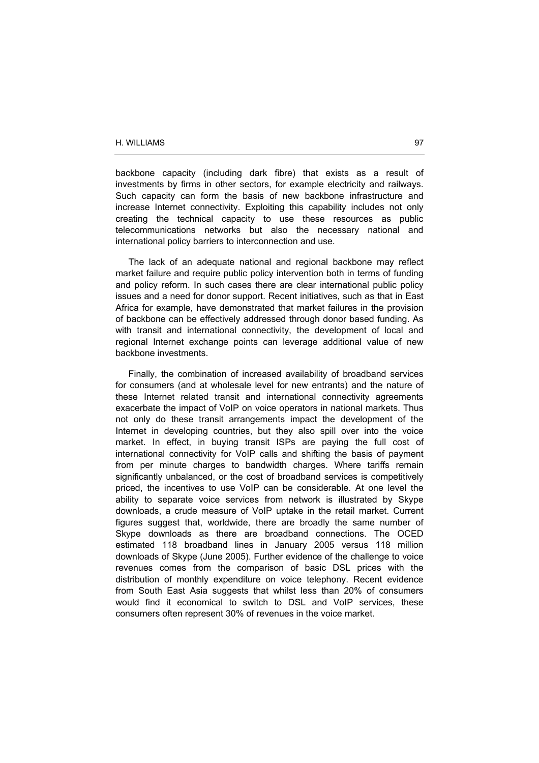backbone capacity (including dark fibre) that exists as a result of investments by firms in other sectors, for example electricity and railways. Such capacity can form the basis of new backbone infrastructure and increase Internet connectivity. Exploiting this capability includes not only creating the technical capacity to use these resources as public telecommunications networks but also the necessary national and international policy barriers to interconnection and use.

The lack of an adequate national and regional backbone may reflect market failure and require public policy intervention both in terms of funding and policy reform. In such cases there are clear international public policy issues and a need for donor support. Recent initiatives, such as that in East Africa for example, have demonstrated that market failures in the provision of backbone can be effectively addressed through donor based funding. As with transit and international connectivity, the development of local and regional Internet exchange points can leverage additional value of new backbone investments.

Finally, the combination of increased availability of broadband services for consumers (and at wholesale level for new entrants) and the nature of these Internet related transit and international connectivity agreements exacerbate the impact of VoIP on voice operators in national markets. Thus not only do these transit arrangements impact the development of the Internet in developing countries, but they also spill over into the voice market. In effect, in buying transit ISPs are paying the full cost of international connectivity for VoIP calls and shifting the basis of payment from per minute charges to bandwidth charges. Where tariffs remain significantly unbalanced, or the cost of broadband services is competitively priced, the incentives to use VoIP can be considerable. At one level the ability to separate voice services from network is illustrated by Skype downloads, a crude measure of VoIP uptake in the retail market. Current figures suggest that, worldwide, there are broadly the same number of Skype downloads as there are broadband connections. The OCED estimated 118 broadband lines in January 2005 versus 118 million downloads of Skype (June 2005). Further evidence of the challenge to voice revenues comes from the comparison of basic DSL prices with the distribution of monthly expenditure on voice telephony. Recent evidence from South East Asia suggests that whilst less than 20% of consumers would find it economical to switch to DSL and VoIP services, these consumers often represent 30% of revenues in the voice market.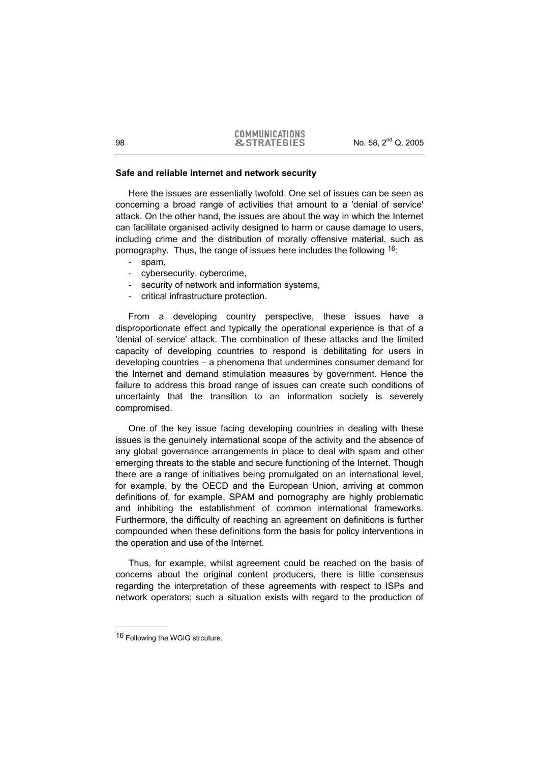#### **Safe and reliable Internet and network security**

Here the issues are essentially twofold. One set of issues can be seen as concerning a broad range of activities that amount to a 'denial of service' attack. On the other hand, the issues are about the way in which the Internet can facilitate organised activity designed to harm or cause damage to users, including crime and the distribution of morally offensive material, such as pornography. Thus, the range of issues here includes the following 16:

- spam.
- cybersecurity, cybercrime,
- security of network and information systems,
- critical infrastructure protection.

From a developing country perspective, these issues have a disproportionate effect and typically the operational experience is that of a 'denial of service' attack. The combination of these attacks and the limited capacity of developing countries to respond is debilitating for users in developing countries – a phenomena that undermines consumer demand for the Internet and demand stimulation measures by government. Hence the failure to address this broad range of issues can create such conditions of uncertainty that the transition to an information society is severely compromised.

One of the key issue facing developing countries in dealing with these issues is the genuinely international scope of the activity and the absence of any global governance arrangements in place to deal with spam and other emerging threats to the stable and secure functioning of the Internet. Though there are a range of initiatives being promulgated on an international level, for example, by the OECD and the European Union, arriving at common definitions of, for example, SPAM and pornography are highly problematic and inhibiting the establishment of common international frameworks. Furthermore, the difficulty of reaching an agreement on definitions is further compounded when these definitions form the basis for policy interventions in the operation and use of the Internet.

Thus, for example, whilst agreement could be reached on the basis of concerns about the original content producers, there is little consensus regarding the interpretation of these agreements with respect to ISPs and network operators; such a situation exists with regard to the production of

<sup>16</sup> Following the WGIG strcuture.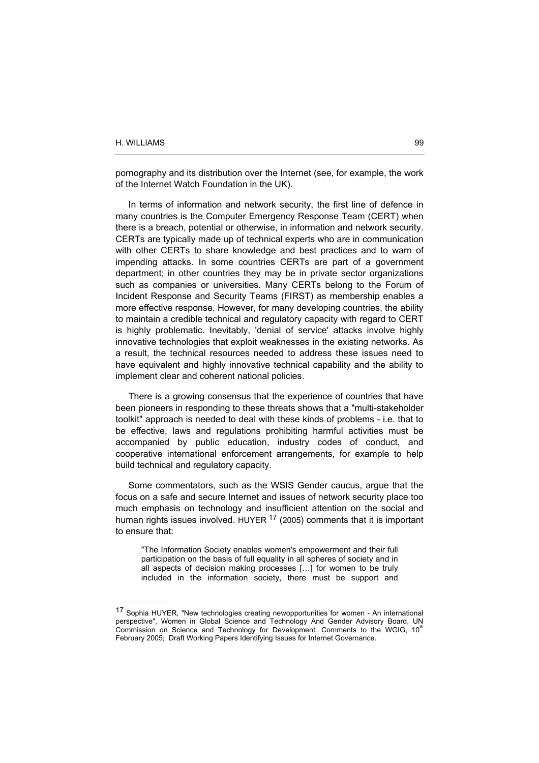-

pornography and its distribution over the Internet (see, for example, the work of the Internet Watch Foundation in the UK).

In terms of information and network security, the first line of defence in many countries is the Computer Emergency Response Team (CERT) when there is a breach, potential or otherwise, in information and network security. CERTs are typically made up of technical experts who are in communication with other CERTs to share knowledge and best practices and to warn of impending attacks. In some countries CERTs are part of a government department; in other countries they may be in private sector organizations such as companies or universities. Many CERTs belong to the Forum of Incident Response and Security Teams (FIRST) as membership enables a more effective response. However, for many developing countries, the ability to maintain a credible technical and regulatory capacity with regard to CERT is highly problematic. Inevitably, 'denial of service' attacks involve highly innovative technologies that exploit weaknesses in the existing networks. As a result, the technical resources needed to address these issues need to have equivalent and highly innovative technical capability and the ability to implement clear and coherent national policies.

There is a growing consensus that the experience of countries that have been pioneers in responding to these threats shows that a "multi-stakeholder toolkit" approach is needed to deal with these kinds of problems - i.e. that to be effective, laws and regulations prohibiting harmful activities must be accompanied by public education, industry codes of conduct, and cooperative international enforcement arrangements, for example to help build technical and regulatory capacity.

Some commentators, such as the WSIS Gender caucus, argue that the focus on a safe and secure Internet and issues of network security place too much emphasis on technology and insufficient attention on the social and human rights issues involved. HUYER <sup>17</sup> (2005) comments that it is important to ensure that:

"The Information Society enables women's empowerment and their full participation on the basis of full equality in all spheres of society and in all aspects of decision making processes  $[...]$  for women to be truly included in the information society, there must be support and

<sup>17</sup> Sophia HUYER, "New technologies creating newopportunities for women - An international perspective", Women in Global Science and Technology And Gender Advisory Board, UN Commission on Science and Technology for Development. Comments to the WGIG, 10<sup>th</sup> February 2005; Draft Working Papers Identifying Issues for Internet Governance.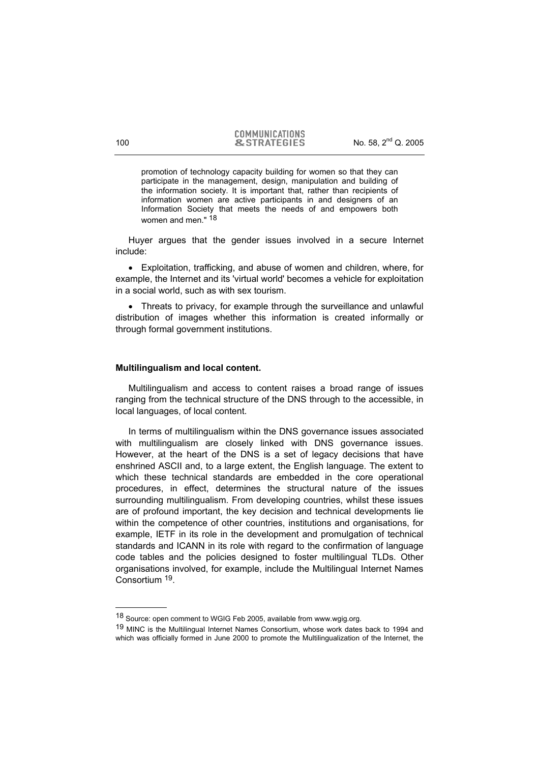promotion of technology capacity building for women so that they can participate in the management, design, manipulation and building of the information society. It is important that, rather than recipients of information women are active participants in and designers of an Information Society that meets the needs of and empowers both women and men." 18

Huyer argues that the gender issues involved in a secure Internet include:

• Exploitation, trafficking, and abuse of women and children, where, for example, the Internet and its 'virtual world' becomes a vehicle for exploitation in a social world, such as with sex tourism.

• Threats to privacy, for example through the surveillance and unlawful distribution of images whether this information is created informally or through formal government institutions.

#### **Multilingualism and local content.**

Multilingualism and access to content raises a broad range of issues ranging from the technical structure of the DNS through to the accessible, in local languages, of local content.

In terms of multilingualism within the DNS governance issues associated with multilingualism are closely linked with DNS governance issues. However, at the heart of the DNS is a set of legacy decisions that have enshrined ASCII and, to a large extent, the English language. The extent to which these technical standards are embedded in the core operational procedures, in effect, determines the structural nature of the issues surrounding multilingualism. From developing countries, whilst these issues are of profound important, the key decision and technical developments lie within the competence of other countries, institutions and organisations, for example, IETF in its role in the development and promulgation of technical standards and ICANN in its role with regard to the confirmation of language code tables and the policies designed to foster multilingual TLDs. Other organisations involved, for example, include the Multilingual Internet Names Consortium 19.

<sup>18</sup> Source: open comment to WGIG Feb 2005, available from www.wgig.org.

<sup>19</sup> MINC is the Multilingual Internet Names Consortium, whose work dates back to 1994 and which was officially formed in June 2000 to promote the Multilingualization of the Internet, the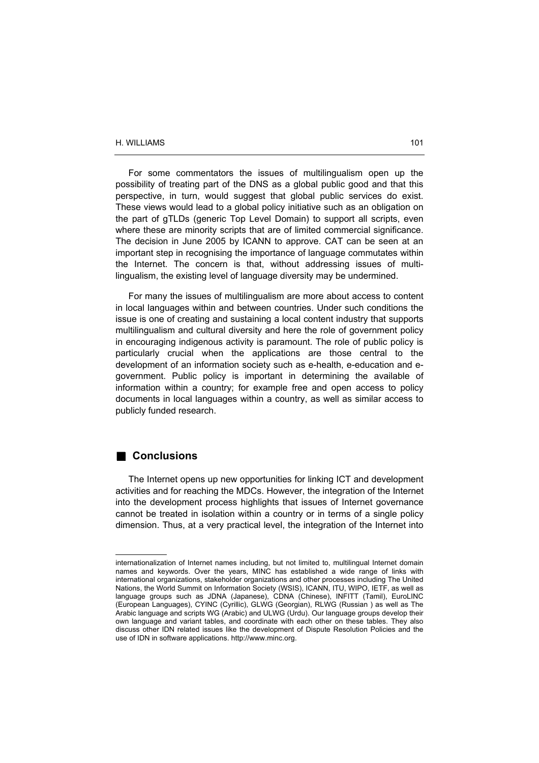For some commentators the issues of multilingualism open up the possibility of treating part of the DNS as a global public good and that this perspective, in turn, would suggest that global public services do exist. These views would lead to a global policy initiative such as an obligation on the part of gTLDs (generic Top Level Domain) to support all scripts, even where these are minority scripts that are of limited commercial significance. The decision in June 2005 by ICANN to approve. CAT can be seen at an important step in recognising the importance of language commutates within the Internet. The concern is that, without addressing issues of multilingualism, the existing level of language diversity may be undermined.

For many the issues of multilingualism are more about access to content in local languages within and between countries. Under such conditions the issue is one of creating and sustaining a local content industry that supports multilingualism and cultural diversity and here the role of government policy in encouraging indigenous activity is paramount. The role of public policy is particularly crucial when the applications are those central to the development of an information society such as e-health, e-education and egovernment. Public policy is important in determining the available of information within a country; for example free and open access to policy documents in local languages within a country, as well as similar access to publicly funded research.

# ̈ **Conclusions**

-

The Internet opens up new opportunities for linking ICT and development activities and for reaching the MDCs. However, the integration of the Internet into the development process highlights that issues of Internet governance cannot be treated in isolation within a country or in terms of a single policy dimension. Thus, at a very practical level, the integration of the Internet into

internationalization of Internet names including, but not limited to, multilingual Internet domain names and keywords. Over the years, MINC has established a wide range of links with international organizations, stakeholder organizations and other processes including The United Nations, the World Summit on Information Society (WSIS), ICANN, ITU, WIPO, IETF, as well as language groups such as JDNA (Japanese), CDNA (Chinese), INFITT (Tamil), EuroLINC (European Languages), CYINC (Cyrillic), GLWG (Georgian), RLWG (Russian ) as well as The Arabic language and scripts WG (Arabic) and ULWG (Urdu). Our language groups develop their own language and variant tables, and coordinate with each other on these tables. They also discuss other IDN related issues like the development of Dispute Resolution Policies and the use of IDN in software applications. http://www.minc.org.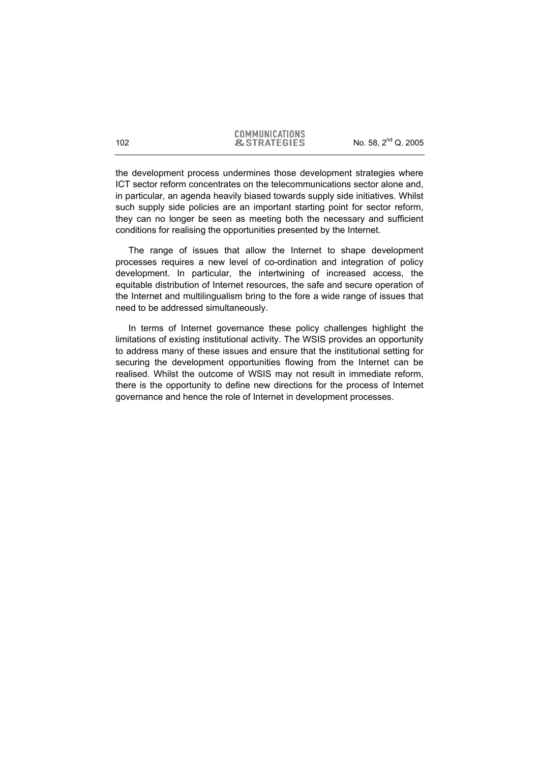the development process undermines those development strategies where ICT sector reform concentrates on the telecommunications sector alone and, in particular, an agenda heavily biased towards supply side initiatives. Whilst such supply side policies are an important starting point for sector reform, they can no longer be seen as meeting both the necessary and sufficient conditions for realising the opportunities presented by the Internet.

The range of issues that allow the Internet to shape development processes requires a new level of co-ordination and integration of policy development. In particular, the intertwining of increased access, the equitable distribution of Internet resources, the safe and secure operation of the Internet and multilingualism bring to the fore a wide range of issues that need to be addressed simultaneously.

In terms of Internet governance these policy challenges highlight the limitations of existing institutional activity. The WSIS provides an opportunity to address many of these issues and ensure that the institutional setting for securing the development opportunities flowing from the Internet can be realised. Whilst the outcome of WSIS may not result in immediate reform, there is the opportunity to define new directions for the process of Internet governance and hence the role of Internet in development processes.